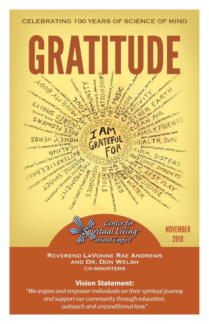#### **CELEBRATING 100 YEARS OF SCIENCE OF MIND**





**NOVEMBER** 2018

**REVEREND LAVONNE RAE ANDREWS AND DR. DON WELSH CO-MINISTERS** 

#### **Vision Statement:**

"We inspire and empower individuals on their spiritual journey and support our community through education, outreach and unconditional love."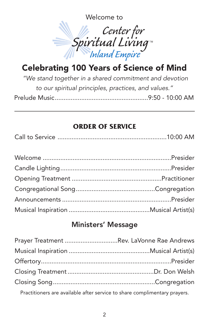Welcome to



## Celebrating 100 Years of Science of Mind

*"We stand together in a shared commitment and devotion to our spiritual principles, practices, and values."* Prelude Music.....................................................9:50 - 10:00 AM

#### **ORDER OF SERVICE**

|--|--|--|--|

### Ministers' Message

| Prayer Treatment Rev. LaVonne Rae Andrews |  |
|-------------------------------------------|--|
|                                           |  |
|                                           |  |
|                                           |  |
|                                           |  |
|                                           |  |

Practitioners are available after service to share complimentary prayers.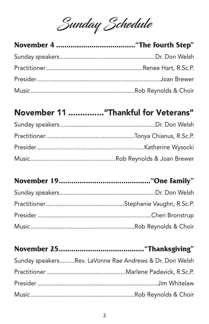Sunday Schedule

## November 11 ..............."Thankful for Veterans"

## **November 19............................................"One Family"**

| Sunday speakersRev. LaVonne Rae Andrews & Dr. Don Welsh |
|---------------------------------------------------------|
|                                                         |
|                                                         |
|                                                         |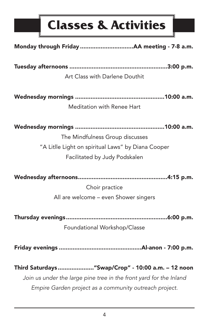# **Classes & Activities**

| Art Class with Darlene Douthit                                     |
|--------------------------------------------------------------------|
|                                                                    |
|                                                                    |
| Meditation with Renee Hart                                         |
|                                                                    |
|                                                                    |
| The Mindfulness Group discusses                                    |
| "A Litlle Light on spiritual Laws" by Diana Cooper                 |
| Facilitated by Judy Podskalen                                      |
|                                                                    |
|                                                                    |
| Choir practice                                                     |
| All are welcome - even Shower singers                              |
|                                                                    |
|                                                                    |
| Foundational Workshop/Classe                                       |
|                                                                    |
|                                                                    |
|                                                                    |
| Third Saturdays " Swap/Crop" - 10:00 a.m. - 12 noon                |
| Join us under the large pine tree in the front yard for the Inland |
| Empire Garden project as a community outreach project.             |
|                                                                    |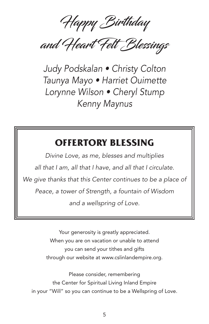Happy Birthday

and Heart Felt Blessings

*Judy Podskalan • Christy Colton Taunya Mayo • Harriet Ouimette Lorynne Wilson • Cheryl Stump Kenny Maynus*

### **OFFERTORY BLESSING**

*Divine Love, as me, blesses and multiplies all that I am, all that I have, and all that I circulate. We give thanks that this Center continues to be a place of Peace, a tower of Strength, a fountain of Wisdom and a wellspring of Love.*

> Your generosity is greatly appreciated. When you are on vacation or unable to attend you can send your tithes and gifts through our website at www.cslinlandempire.org.

Please consider, remembering the Center for Spiritual Living Inland Empire in your "Will" so you can continue to be a Wellspring of Love.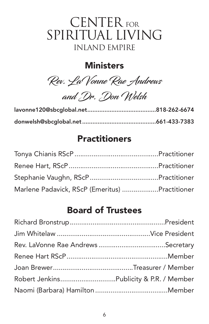# CENTER FOR SPIRITUAL LIVING INLAND EMPIRE

### **Ministers**

Rev. LaVonne Rae Andrews

and Dr. Don Welsh

### **Practitioners**

| Marlene Padavick, RScP (Emeritus) Practitioner |  |
|------------------------------------------------|--|

### Board of Trustees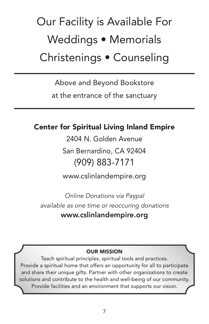# Our Facility is Available For Weddings • Memorials Christenings • Counseling

Above and Beyond Bookstore

at the entrance of the sanctuary

### Center for Spiritual Living Inland Empire

2404 N. Golden Avenue

San Bernardino, CA 92404 (909) 883-7171

www.cslinlandempire.org

*Online Donations via Paypal available as one time or reoccuring donations* www.cslinlandempire.org

#### OUR MISSION

Teach spiritual principles, spiritual tools and practices. Provide a spiritual home that offers an opportunity for all to participate and share their unique gifts. Partner with other organizations to create solutions and contribute to the health and well-being of our community. Provide facilities and an environment that supports our vision.